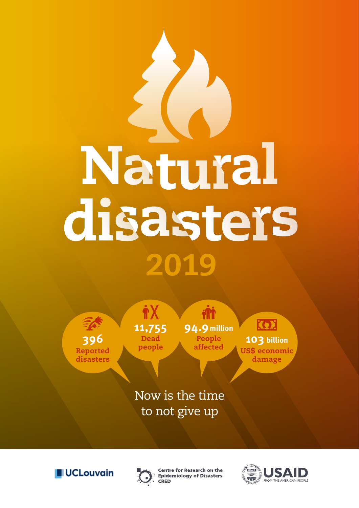# Natural disasters 2019

**396** Reported disasters

**11,755** Dead people

j

**94.9 million** People<br>affected

**KOJ** 103 billion US\$ economic damage

Now is the time to not give up





**Centre for Research on the Epidemiology of Disasters** CRED

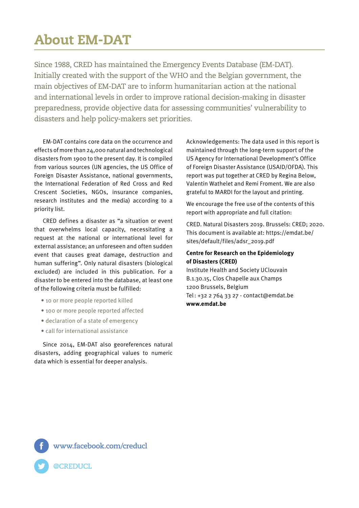## About EM-DAT

Since 1988, CRED has maintained the Emergency Events Database (EM-DAT). Initially created with the support of the WHO and the Belgian government, the main objectives of EM-DAT are to inform humanitarian action at the national and international levels in order to improve rational decision-making in disaster preparedness, provide objective data for assessing communities' vulnerability to disasters and help policy-makers set priorities.

EM-DAT contains core data on the occurrence and effects of more than 24,000 natural and technological disasters from 1900 to the present day. It is compiled from various sources (UN agencies, the US Office of Foreign Disaster Assistance, national governments, the International Federation of Red Cross and Red Crescent Societies, NGOs, insurance companies, research institutes and the media) according to a priority list.

CRED defines a disaster as "a situation or event that overwhelms local capacity, necessitating a request at the national or international level for external assistance; an unforeseen and often sudden event that causes great damage, destruction and human suffering". Only natural disasters (biological excluded) are included in this publication. For a disaster to be entered into the database, at least one of the following criteria must be fulfilled:

- 10 or more people reported killed
- 100 or more people reported affected
- declaration of a state of emergency
- call for international assistance

Since 2014, EM-DAT also georeferences natural disasters, adding geographical values to numeric data which is essential for deeper analysis.

Acknowledgements: The data used in this report is maintained through the long-term support of the US Agency for International Development's Office of Foreign Disaster Assistance (USAID/OFDA). This report was put together at CRED by Regina Below, Valentin Wathelet and Remi Froment. We are also grateful to MARDI for the layout and printing.

We encourage the free use of the contents of this report with appropriate and full citation:

CRED. Natural Disasters 2019. Brussels: CRED; 2020. This document is available at: https://emdat.be/ sites/default/files/adsr\_2019.pdf

#### **Centre for Research on the Epidemiology of Disasters (CRED)**

Institute Health and Society UClouvain B.1.30.15, Clos Chapelle aux Champs 1200 Brussels, Belgium Tel: +32 2 764 33 27 - contact@emdat.be **www.emdat.be**

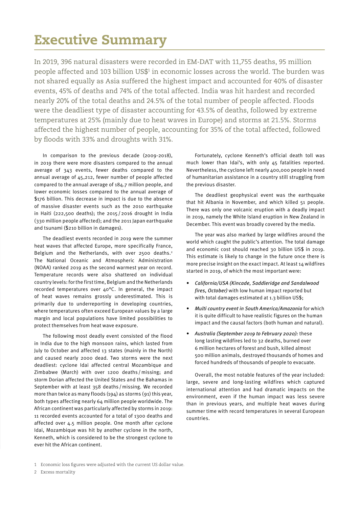#### Executive Summary

In 2019, 396 natural disasters were recorded in EM-DAT with 11,755 deaths, 95 million people affected and 103 billion US\$<del>1</del> in economic losses across the world. The burden was not shared equally as Asia suffered the highest impact and accounted for 40% of disaster events, 45% of deaths and 74% of the total affected. India was hit hardest and recorded nearly 20% of the total deaths and 24.5% of the total number of people affected. Floods were the deadliest type of disaster accounting for 43.5% of deaths, followed by extreme temperatures at 25% (mainly due to heat waves in Europe) and storms at 21.5%. Storms affected the highest number of people, accounting for 35% of the total affected, followed by floods with 33% and droughts with 31%.

In comparison to the previous decade (2009-2018), in 2019 there were more disasters compared to the annual average of 343 events, fewer deaths compared to the annual average of 45,212, fewer number of people affected compared to the annual average of 184.7 million people, and lower economic losses compared to the annual average of \$176 billion. This decrease in impact is due to the absence of massive disaster events such as the 2010 earthquake in Haiti (222,500 deaths); the 2015/2016 drought in India (330 million people affected); and the 2011 Japan earthquake and tsunami (\$210 billion in damages).

The deadliest events recorded in 2019 were the summer heat waves that affected Europe, more specifically France, Belgium and the Netherlands, with over 2500 deaths.<sup>2</sup> The National Oceanic and Atmospheric Administration (NOAA) ranked 2019 as the second warmest year on record. Temperature records were also shattered on individual country levels: for the first time, Belgium and the Netherlands recorded temperatures over 40°C. In general, the impact of heat waves remains grossly underestimated. This is primarily due to underreporting in developing countries, where temperatures often exceed European values by a large margin and local populations have limited possibilities to protect themselves from heat wave exposure.

The following most deadly event consisted of the flood in India due to the high monsoon rains, which lasted from July to October and affected 13 states (mainly in the North) and caused nearly 2000 dead. Two storms were the next deadliest: cyclone Idai affected central Mozambique and Zimbabwe (March) with over 1200 deaths /missing; and storm Dorian affected the United States and the Bahamas in September with at least 358 deaths /missing. We recorded more than twice as many floods (194) as storms (91) this year, both types affecting nearly 64 million people worldwide. The African continent was particularly affected by storms in 2019: 11 recorded events accounted for a total of 1300 deaths and affected over 4.5 million people. One month after cyclone Idai, Mozambique was hit by another cyclone in the north, Kenneth, which is considered to be the strongest cyclone to ever hit the African continent.

Fortunately, cyclone Kenneth's official death toll was much lower than Idai's, with only 45 fatalities reported. Nevertheless, the cyclone left nearly 400,000 people in need of humanitarian assistance in a country still struggling from the previous disaster.

The deadliest geophysical event was the earthquake that hit Albania in November, and which killed 51 people. There was only one volcanic eruption with a deadly impact in 2019, namely the White Island eruption in New Zealand in December. This event was broadly covered by the media.

The year was also marked by large wildfires around the world which caught the public's attention. The total damage and economic cost should reached 30 billion US\$ in 2019. This estimate is likely to change in the future once there is more precise insight on the exact impact. At least 14 wildfires started in 2019, of which the most important were:

- *• California/USA (Kincade, Saddleridge and Sandalwood fires, October)* with low human impact reported but with total damages estimated at 1.3 billion US\$;
- *• Multi country event in South America/Amazonia* for which it is quite difficult to have realistic figures on the human impact and the causal factors (both human and natural).
- *• Australia (September 2019 to February 2020):* these long lasting wildfires led to 32 deaths, burned over 6 million hectares of forest and bush, killed almost 500 million animals, destroyed thousands of homes and forced hundreds of thousands of people to evacuate.

Overall, the most notable features of the year included: large, severe and long-lasting wildfires which captured international attention and had dramatic impacts on the environment, even if the human impact was less severe than in previous years, and multiple heat waves during summer time with record temperatures in several European countries.

<sup>1</sup> Economic loss figures were adjusted with the current US dollar value.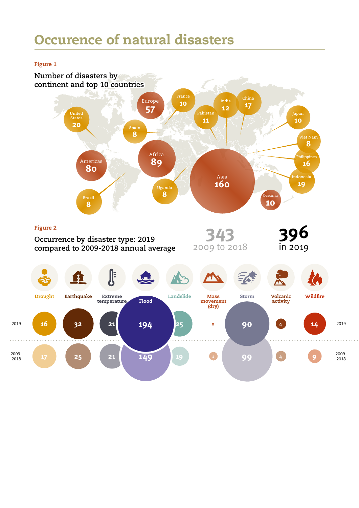## Occurence of natural disasters

#### Figure 1

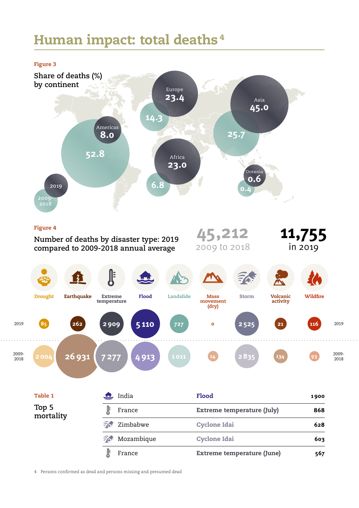## Human impact: total deaths <sup>4</sup>



#### Figure 4

2019

2009- 2018

India Flood **1900** Drought Earthquake Extreme temperature Flood Landslide Mass movement (dry) Storm Volcanic activity Wildfire **45,212** 2009 to 2018 **11,755** in 2019 **2004 26931 7277 4913 1011 <sup>14</sup> 2835 <sup>134</sup> <sup>93</sup> <sup>85</sup> <sup>262</sup> 2909 5110 <sup>727</sup> <sup>0</sup> 2525 <sup>116</sup> Number of deaths by disaster type: 2019 compared to 2009-2018 annual average** Table 1 2019 2009- 2018 **21**

France Extreme temperature (July) **868**

Zimbabwe Cyclone Idai **628**

**Top 5 mortality**

> Mozambique Cyclone Idai **603**   $\widehat{\mathbb{Z}}$ J France Extreme temperature (June) **567**

4 Persons confirmed as dead and persons missing and presumed dead

Ĵ

EA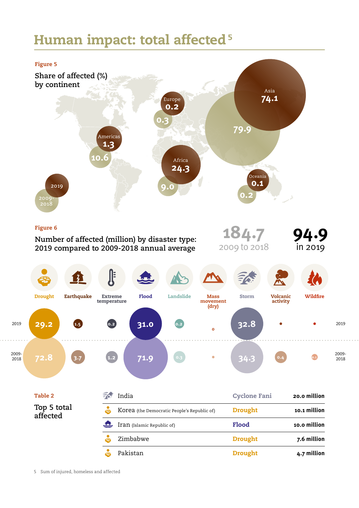## Human impact: total affected<sup>5</sup>



5 Sum of injured, homeless and affected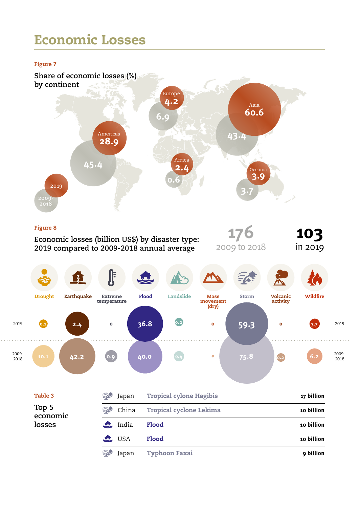### Economic Losses

#### Figure 7